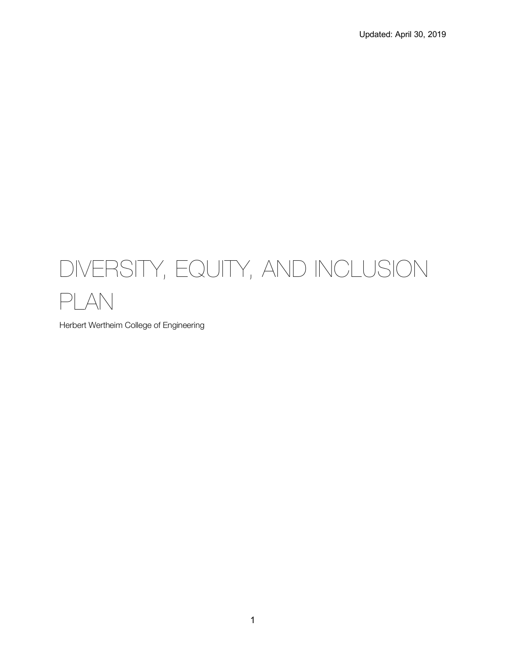# DIVERSITY, EQUITY, AND INCLUSION PLAN

Herbert Wertheim College of Engineering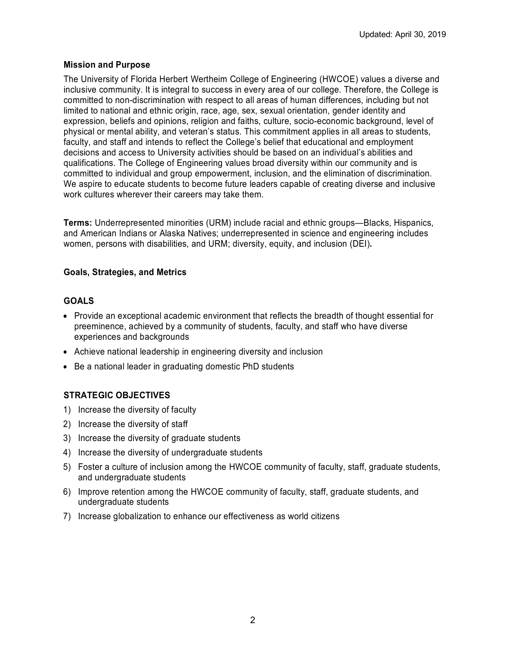# **Mission and Purpose**

The University of Florida Herbert Wertheim College of Engineering (HWCOE) values a diverse and inclusive community. It is integral to success in every area of our college. Therefore, the College is committed to non-discrimination with respect to all areas of human differences, including but not limited to national and ethnic origin, race, age, sex, sexual orientation, gender identity and expression, beliefs and opinions, religion and faiths, culture, socio-economic background, level of physical or mental ability, and veteran's status. This commitment applies in all areas to students, faculty, and staff and intends to reflect the College's belief that educational and employment decisions and access to University activities should be based on an individual's abilities and qualifications. The College of Engineering values broad diversity within our community and is committed to individual and group empowerment, inclusion, and the elimination of discrimination. We aspire to educate students to become future leaders capable of creating diverse and inclusive work cultures wherever their careers may take them.

**Terms:** Underrepresented minorities (URM) include racial and ethnic groups—Blacks, Hispanics, and American Indians or Alaska Natives; underrepresented in science and engineering includes women, persons with disabilities, and URM; diversity, equity, and inclusion (DEI)**.**

# **Goals, Strategies, and Metrics**

# **GOALS**

- Provide an exceptional academic environment that reflects the breadth of thought essential for preeminence, achieved by a community of students, faculty, and staff who have diverse experiences and backgrounds
- Achieve national leadership in engineering diversity and inclusion
- Be a national leader in graduating domestic PhD students

# **STRATEGIC OBJECTIVES**

- 1) Increase the diversity of faculty
- 2) Increase the diversity of staff
- 3) Increase the diversity of graduate students
- 4) Increase the diversity of undergraduate students
- 5) Foster a culture of inclusion among the HWCOE community of faculty, staff, graduate students, and undergraduate students
- 6) Improve retention among the HWCOE community of faculty, staff, graduate students, and undergraduate students
- 7) Increase globalization to enhance our effectiveness as world citizens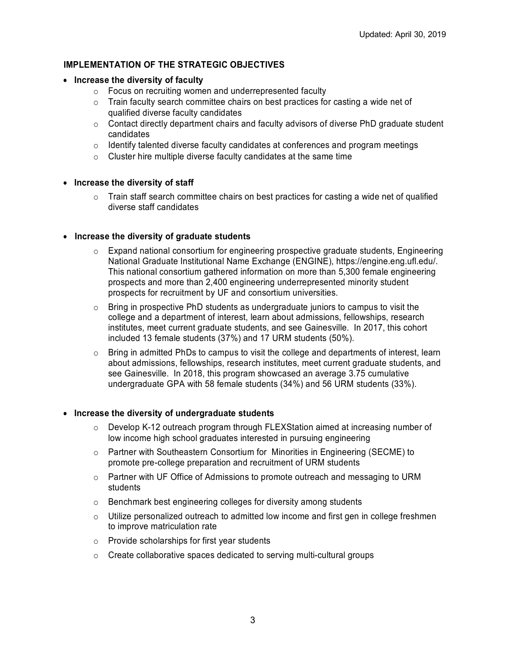# **IMPLEMENTATION OF THE STRATEGIC OBJECTIVES**

- **Increase the diversity of faculty**
	- o Focus on recruiting women and underrepresented faculty
	- $\circ$  Train faculty search committee chairs on best practices for casting a wide net of qualified diverse faculty candidates
	- o Contact directly department chairs and faculty advisors of diverse PhD graduate student candidates
	- o Identify talented diverse faculty candidates at conferences and program meetings
	- o Cluster hire multiple diverse faculty candidates at the same time

#### • **Increase the diversity of staff**

 $\circ$  Train staff search committee chairs on best practices for casting a wide net of qualified diverse staff candidates

#### • **Increase the diversity of graduate students**

- $\circ$  Expand national consortium for engineering prospective graduate students, Engineering National Graduate Institutional Name Exchange (ENGINE), https://engine.eng.ufl.edu/. This national consortium gathered information on more than 5,300 female engineering prospects and more than 2,400 engineering underrepresented minority student prospects for recruitment by UF and consortium universities.
- $\circ$  Bring in prospective PhD students as undergraduate juniors to campus to visit the college and a department of interest, learn about admissions, fellowships, research institutes, meet current graduate students, and see Gainesville. In 2017, this cohort included 13 female students (37%) and 17 URM students (50%).
- $\circ$  Bring in admitted PhDs to campus to visit the college and departments of interest, learn about admissions, fellowships, research institutes, meet current graduate students, and see Gainesville. In 2018, this program showcased an average 3.75 cumulative undergraduate GPA with 58 female students (34%) and 56 URM students (33%).

#### • **Increase the diversity of undergraduate students**

- o Develop K-12 outreach program through FLEXStation aimed at increasing number of low income high school graduates interested in pursuing engineering
- $\circ$  Partner with Southeastern Consortium for Minorities in Engineering (SECME) to promote pre-college preparation and recruitment of URM students
- o Partner with UF Office of Admissions to promote outreach and messaging to URM students
- o Benchmark best engineering colleges for diversity among students
- $\circ$  Utilize personalized outreach to admitted low income and first gen in college freshmen to improve matriculation rate
- o Provide scholarships for first year students
- o Create collaborative spaces dedicated to serving multi-cultural groups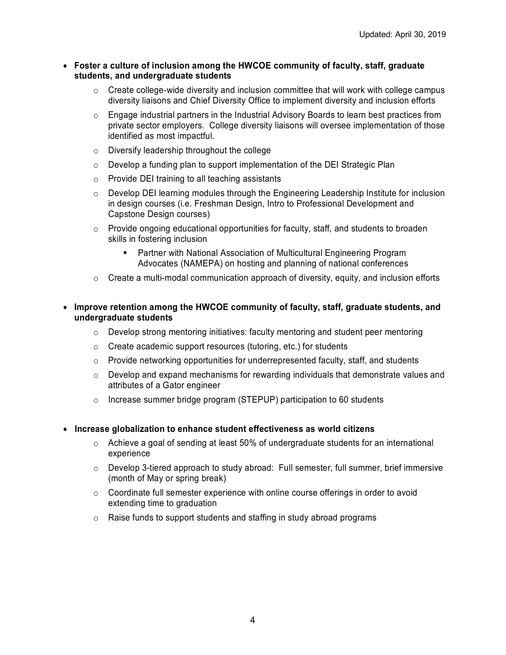#### • **Foster a culture of inclusion among the HWCOE community of faculty, staff, graduate students, and undergraduate students**

- $\circ$  Create college-wide diversity and inclusion committee that will work with college campus diversity liaisons and Chief Diversity Office to implement diversity and inclusion efforts
- o Engage industrial partners in the Industrial Advisory Boards to learn best practices from private sector employers. College diversity liaisons will oversee implementation of those identified as most impactful.
- o Diversify leadership throughout the college
- o Develop a funding plan to support implementation of the DEI Strategic Plan
- o Provide DEI training to all teaching assistants
- o Develop DEI learning modules through the Engineering Leadership Institute for inclusion in design courses (i.e. Freshman Design, Intro to Professional Development and Capstone Design courses)
- $\circ$  Provide ongoing educational opportunities for faculty, staff, and students to broaden skills in fostering inclusion
	- § Partner with National Association of Multicultural Engineering Program Advocates (NAMEPA) on hosting and planning of national conferences
- $\circ$  Create a multi-modal communication approach of diversity, equity, and inclusion efforts

#### • **Improve retention among the HWCOE community of faculty, staff, graduate students, and undergraduate students**

- $\circ$  Develop strong mentoring initiatives: faculty mentoring and student peer mentoring
- o Create academic support resources (tutoring, etc.) for students
- o Provide networking opportunities for underrepresented faculty, staff, and students
- $\circ$  Develop and expand mechanisms for rewarding individuals that demonstrate values and attributes of a Gator engineer
- o Increase summer bridge program (STEPUP) participation to 60 students
- **Increase globalization to enhance student effectiveness as world citizens**
	- o Achieve a goal of sending at least 50% of undergraduate students for an international experience
	- $\circ$  Develop 3-tiered approach to study abroad: Full semester, full summer, brief immersive (month of May or spring break)
	- $\circ$  Coordinate full semester experience with online course offerings in order to avoid extending time to graduation
	- o Raise funds to support students and staffing in study abroad programs